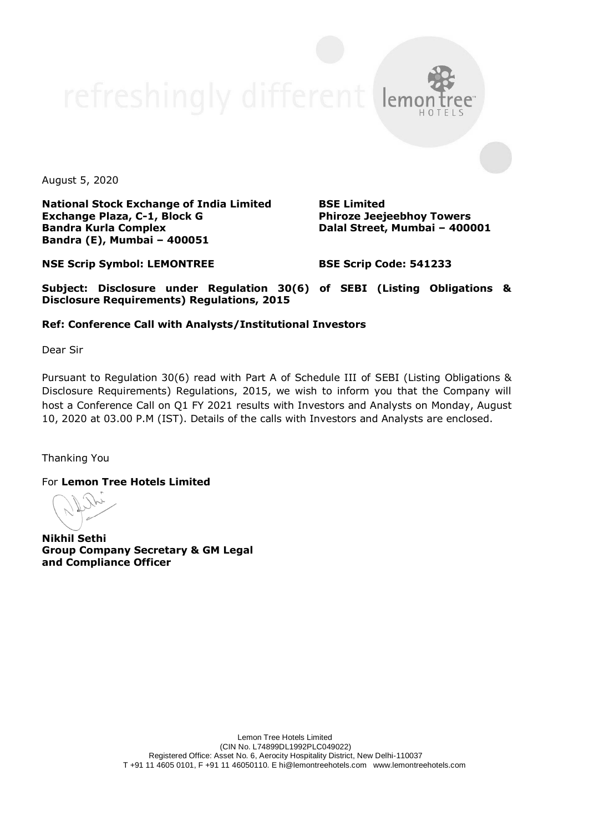August 5, 2020

**National Stock Exchange of India Limited Exchange Plaza, C-1, Block G Bandra Kurla Complex Bandra (E), Mumbai – 400051**

**BSE Limited Phiroze Jeejeebhoy Towers Dalal Street, Mumbai – 400001**

**NSE Scrip Symbol: LEMONTREE**

**BSE Scrip Code: 541233**

**Subject: Disclosure under Regulation 30(6) of SEBI (Listing Obligations & Disclosure Requirements) Regulations, 2015**

## **Ref: Conference Call with Analysts/Institutional Investors**

Dear Sir

Pursuant to Regulation 30(6) read with Part A of Schedule III of SEBI (Listing Obligations & Disclosure Requirements) Regulations, 2015, we wish to inform you that the Company will host a Conference Call on Q1 FY 2021 results with Investors and Analysts on Monday, August 10, 2020 at 03.00 P.M (IST). Details of the calls with Investors and Analysts are enclosed.

Thanking You

For **Lemon Tree Hotels Limited**

**Nikhil Sethi Group Company Secretary & GM Legal and Compliance Officer**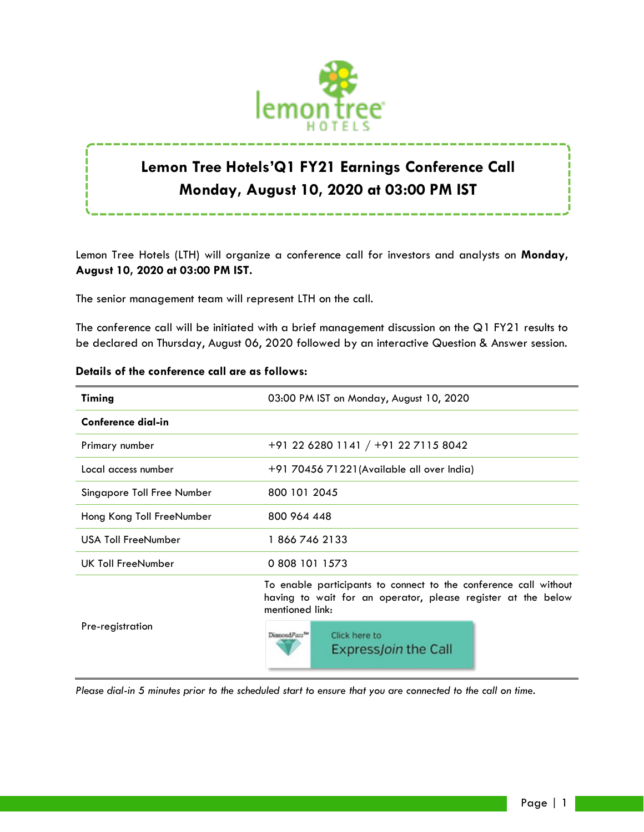

# **Lemon Tree Hotels'Q1 FY21 Earnings Conference Call Monday, August 10, 2020 at 03:00 PM IST**

Lemon Tree Hotels (LTH) will organize a conference call for investors and analysts on **Monday, August 10, 2020 at 03:00 PM IST.**

The senior management team will represent LTH on the call.

The conference call will be initiated with a brief management discussion on the Q1 FY21 results to be declared on Thursday, August 06, 2020 followed by an interactive Question & Answer session.

| Timing                     | 03:00 PM IST on Monday, August 10, 2020                                                                                                             |
|----------------------------|-----------------------------------------------------------------------------------------------------------------------------------------------------|
| Conference dial-in         |                                                                                                                                                     |
| Primary number             | +91 22 6280 1141 / +91 22 7115 8042                                                                                                                 |
| Local access number        | +91 70456 71221(Available all over India)                                                                                                           |
| Singapore Toll Free Number | 800 101 2045                                                                                                                                        |
| Hong Kong Toll FreeNumber  | 800 964 448                                                                                                                                         |
| <b>USA Toll FreeNumber</b> | 18667462133                                                                                                                                         |
| UK Toll FreeNumber         | 0 808 101 1573                                                                                                                                      |
| Pre-registration           | To enable participants to connect to the conference call without<br>having to wait for an operator, please register at the below<br>mentioned link: |
|                            | DiamondPass <sup>TH</sup><br>Click here to<br>Express <i>Join</i> the Call                                                                          |

## **Details of the conference call are as follows:**

*Please dial-in 5 minutes prior to the scheduled start to ensure that you are connected to the call on time.*